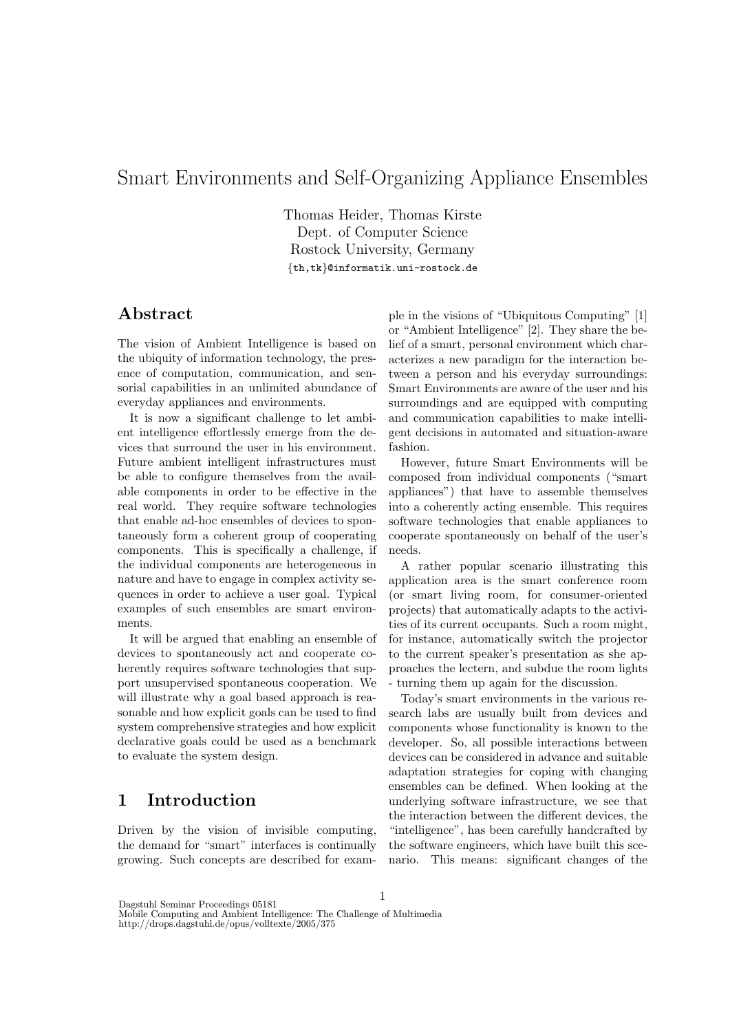# Smart Environments and Self-Organizing Appliance Ensembles

Thomas Heider, Thomas Kirste Dept. of Computer Science Rostock University, Germany {th,tk}@informatik.uni-rostock.de

# Abstract

The vision of Ambient Intelligence is based on the ubiquity of information technology, the presence of computation, communication, and sensorial capabilities in an unlimited abundance of everyday appliances and environments.

It is now a significant challenge to let ambient intelligence effortlessly emerge from the devices that surround the user in his environment. Future ambient intelligent infrastructures must be able to configure themselves from the available components in order to be effective in the real world. They require software technologies that enable ad-hoc ensembles of devices to spontaneously form a coherent group of cooperating components. This is specifically a challenge, if the individual components are heterogeneous in nature and have to engage in complex activity sequences in order to achieve a user goal. Typical examples of such ensembles are smart environments.

It will be argued that enabling an ensemble of devices to spontaneously act and cooperate coherently requires software technologies that support unsupervised spontaneous cooperation. We will illustrate why a goal based approach is reasonable and how explicit goals can be used to find system comprehensive strategies and how explicit declarative goals could be used as a benchmark to evaluate the system design.

# 1 Introduction

Driven by the vision of invisible computing, the demand for "smart" interfaces is continually growing. Such concepts are described for exam-

ple in the visions of "Ubiquitous Computing" [1] or "Ambient Intelligence" [2]. They share the belief of a smart, personal environment which characterizes a new paradigm for the interaction between a person and his everyday surroundings: Smart Environments are aware of the user and his surroundings and are equipped with computing and communication capabilities to make intelligent decisions in automated and situation-aware fashion.

However, future Smart Environments will be composed from individual components ("smart appliances") that have to assemble themselves into a coherently acting ensemble. This requires software technologies that enable appliances to cooperate spontaneously on behalf of the user's needs.

A rather popular scenario illustrating this application area is the smart conference room (or smart living room, for consumer-oriented projects) that automatically adapts to the activities of its current occupants. Such a room might, for instance, automatically switch the projector to the current speaker's presentation as she approaches the lectern, and subdue the room lights - turning them up again for the discussion.

Today's smart environments in the various research labs are usually built from devices and components whose functionality is known to the developer. So, all possible interactions between devices can be considered in advance and suitable adaptation strategies for coping with changing ensembles can be defined. When looking at the underlying software infrastructure, we see that the interaction between the different devices, the "intelligence", has been carefully handcrafted by the software engineers, which have built this scenario. This means: significant changes of the

Dagstuhl Seminar Proceedings 05181

Mobile Computing and Ambient Intelligence: The Challenge of Multimedia http://drops.dagstuhl.de/opus/volltexte/2005/375

1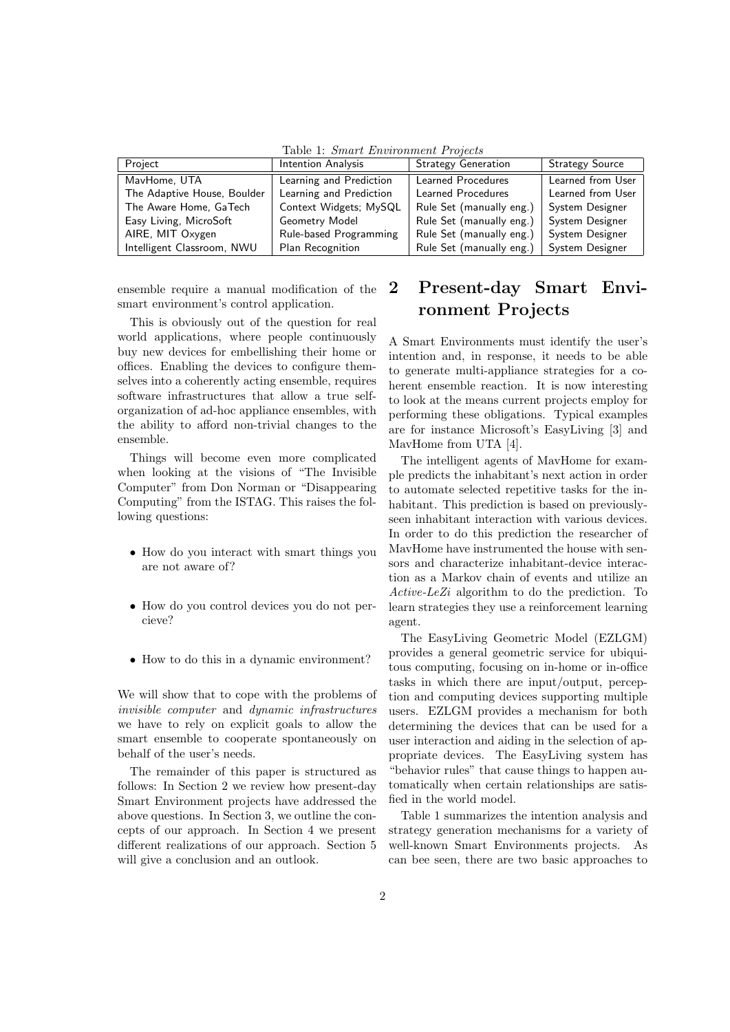Table 1: Smart Environment Projects

| Project                     | Intention Analysis      | Strategy Generation      | <b>Strategy Source</b> |
|-----------------------------|-------------------------|--------------------------|------------------------|
| MavHome, UTA                | Learning and Prediction | Learned Procedures       | Learned from User      |
| The Adaptive House, Boulder | Learning and Prediction | Learned Procedures       | Learned from User      |
| The Aware Home, GaTech      | Context Widgets; MySQL  | Rule Set (manually eng.) | System Designer        |
| Easy Living, MicroSoft      | Geometry Model          | Rule Set (manually eng.) | System Designer        |
| AIRE, MIT Oxygen            | Rule-based Programming  | Rule Set (manually eng.) | System Designer        |
| Intelligent Classroom, NWU  | Plan Recognition        | Rule Set (manually eng.) | System Designer        |

ensemble require a manual modification of the smart environment's control application.

This is obviously out of the question for real world applications, where people continuously buy new devices for embellishing their home or offices. Enabling the devices to configure themselves into a coherently acting ensemble, requires software infrastructures that allow a true selforganization of ad-hoc appliance ensembles, with the ability to afford non-trivial changes to the ensemble.

Things will become even more complicated when looking at the visions of "The Invisible Computer" from Don Norman or "Disappearing Computing" from the ISTAG. This raises the following questions:

- How do you interact with smart things you are not aware of?
- How do you control devices you do not percieve?
- How to do this in a dynamic environment?

We will show that to cope with the problems of invisible computer and dynamic infrastructures we have to rely on explicit goals to allow the smart ensemble to cooperate spontaneously on behalf of the user's needs.

The remainder of this paper is structured as follows: In Section 2 we review how present-day Smart Environment projects have addressed the above questions. In Section 3, we outline the concepts of our approach. In Section 4 we present different realizations of our approach. Section 5 will give a conclusion and an outlook.

# 2 Present-day Smart Environment Projects

A Smart Environments must identify the user's intention and, in response, it needs to be able to generate multi-appliance strategies for a coherent ensemble reaction. It is now interesting to look at the means current projects employ for performing these obligations. Typical examples are for instance Microsoft's EasyLiving [3] and MavHome from UTA [4].

The intelligent agents of MavHome for example predicts the inhabitant's next action in order to automate selected repetitive tasks for the inhabitant. This prediction is based on previouslyseen inhabitant interaction with various devices. In order to do this prediction the researcher of MavHome have instrumented the house with sensors and characterize inhabitant-device interaction as a Markov chain of events and utilize an Active-LeZi algorithm to do the prediction. To learn strategies they use a reinforcement learning agent.

The EasyLiving Geometric Model (EZLGM) provides a general geometric service for ubiquitous computing, focusing on in-home or in-office tasks in which there are input/output, perception and computing devices supporting multiple users. EZLGM provides a mechanism for both determining the devices that can be used for a user interaction and aiding in the selection of appropriate devices. The EasyLiving system has "behavior rules" that cause things to happen automatically when certain relationships are satisfied in the world model.

Table 1 summarizes the intention analysis and strategy generation mechanisms for a variety of well-known Smart Environments projects. As can bee seen, there are two basic approaches to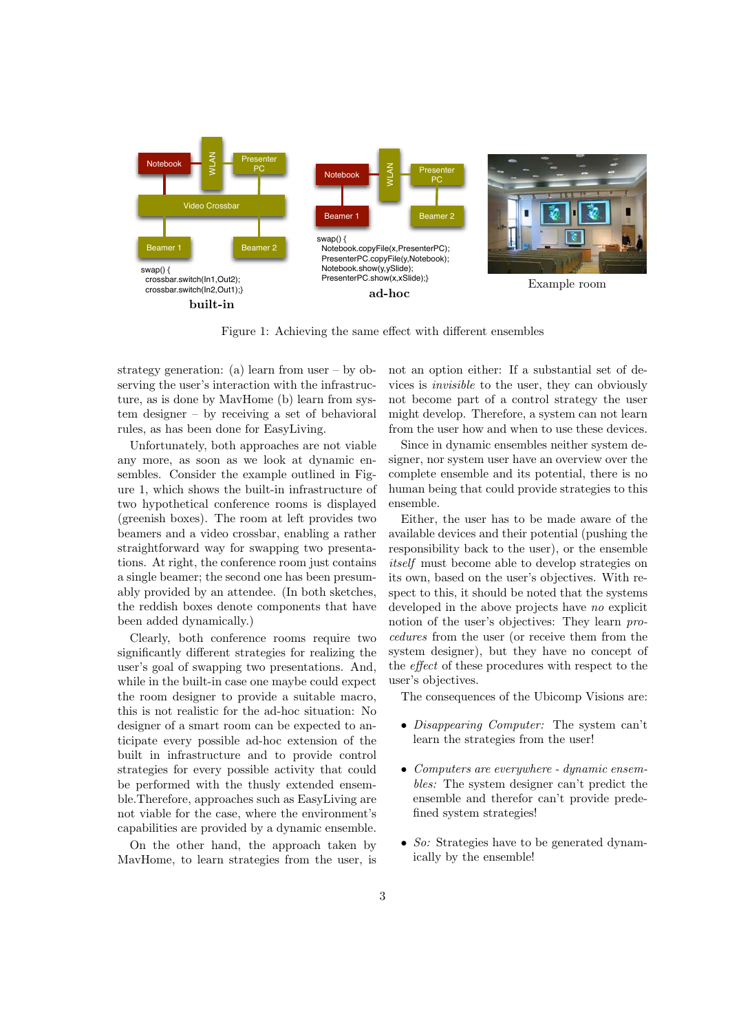

Figure 1: Achieving the same effect with different ensembles

strategy generation: (a) learn from user – by observing the user's interaction with the infrastructure, as is done by MavHome (b) learn from system designer – by receiving a set of behavioral rules, as has been done for EasyLiving.

Unfortunately, both approaches are not viable any more, as soon as we look at dynamic ensembles. Consider the example outlined in Figure 1, which shows the built-in infrastructure of two hypothetical conference rooms is displayed (greenish boxes). The room at left provides two beamers and a video crossbar, enabling a rather straightforward way for swapping two presentations. At right, the conference room just contains a single beamer; the second one has been presumably provided by an attendee. (In both sketches, the reddish boxes denote components that have been added dynamically.)

Clearly, both conference rooms require two significantly different strategies for realizing the user's goal of swapping two presentations. And, while in the built-in case one maybe could expect the room designer to provide a suitable macro, this is not realistic for the ad-hoc situation: No designer of a smart room can be expected to anticipate every possible ad-hoc extension of the built in infrastructure and to provide control strategies for every possible activity that could be performed with the thusly extended ensemble.Therefore, approaches such as EasyLiving are not viable for the case, where the environment's capabilities are provided by a dynamic ensemble.

On the other hand, the approach taken by MavHome, to learn strategies from the user, is

not an option either: If a substantial set of devices is invisible to the user, they can obviously not become part of a control strategy the user might develop. Therefore, a system can not learn from the user how and when to use these devices.

Since in dynamic ensembles neither system designer, nor system user have an overview over the complete ensemble and its potential, there is no human being that could provide strategies to this ensemble.

Either, the user has to be made aware of the available devices and their potential (pushing the responsibility back to the user), or the ensemble itself must become able to develop strategies on its own, based on the user's objectives. With respect to this, it should be noted that the systems developed in the above projects have no explicit notion of the user's objectives: They learn procedures from the user (or receive them from the system designer), but they have no concept of the effect of these procedures with respect to the user's objectives.

The consequences of the Ubicomp Visions are:

- *Disappearing Computer:* The system can't learn the strategies from the user!
- Computers are everywhere dynamic ensembles: The system designer can't predict the ensemble and therefor can't provide predefined system strategies!
- So: Strategies have to be generated dynamically by the ensemble!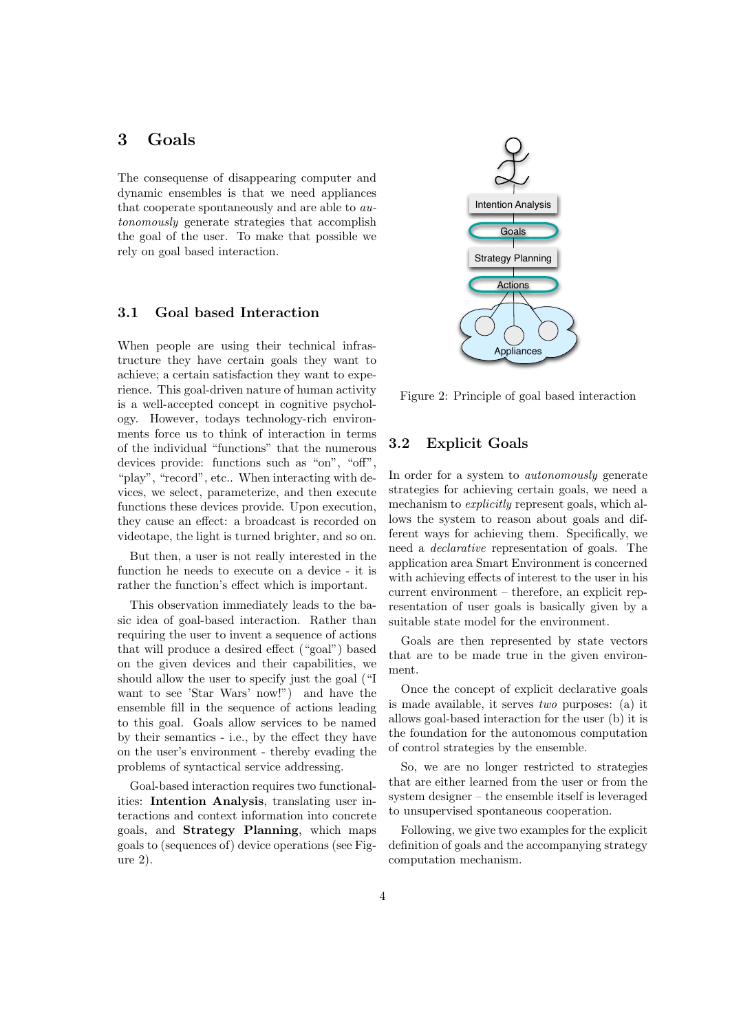# 3 Goals

The consequense of disappearing computer and dynamic ensembles is that we need appliances that cooperate spontaneously and are able to autonomously generate strategies that accomplish the goal of the user. To make that possible we rely on goal based interaction.

#### 3.1 Goal based Interaction

When people are using their technical infrastructure they have certain goals they want to achieve; a certain satisfaction they want to experience. This goal-driven nature of human activity is a well-accepted concept in cognitive psychology. However, todays technology-rich environments force us to think of interaction in terms of the individual "functions" that the numerous devices provide: functions such as "on", "off", "play", "record", etc.. When interacting with devices, we select, parameterize, and then execute functions these devices provide. Upon execution, they cause an effect: a broadcast is recorded on videotape, the light is turned brighter, and so on.

But then, a user is not really interested in the function he needs to execute on a device - it is rather the function's effect which is important.

This observation immediately leads to the basic idea of goal-based interaction. Rather than requiring the user to invent a sequence of actions that will produce a desired effect ("goal") based on the given devices and their capabilities, we should allow the user to specify just the goal ("I want to see 'Star Wars' now!") and have the ensemble fill in the sequence of actions leading to this goal. Goals allow services to be named by their semantics - i.e., by the effect they have on the user's environment - thereby evading the problems of syntactical service addressing.

Goal-based interaction requires two functionalities: Intention Analysis, translating user interactions and context information into concrete goals, and Strategy Planning, which maps goals to (sequences of) device operations (see Figure 2).



Figure 2: Principle of goal based interaction

### 3.2 Explicit Goals

In order for a system to autonomously generate strategies for achieving certain goals, we need a mechanism to *explicitly* represent goals, which allows the system to reason about goals and different ways for achieving them. Specifically, we need a declarative representation of goals. The application area Smart Environment is concerned with achieving effects of interest to the user in his current environment – therefore, an explicit representation of user goals is basically given by a suitable state model for the environment.

Goals are then represented by state vectors that are to be made true in the given environment.

Once the concept of explicit declarative goals is made available, it serves two purposes: (a) it allows goal-based interaction for the user (b) it is the foundation for the autonomous computation of control strategies by the ensemble.

So, we are no longer restricted to strategies that are either learned from the user or from the system designer – the ensemble itself is leveraged to unsupervised spontaneous cooperation.

Following, we give two examples for the explicit definition of goals and the accompanying strategy computation mechanism.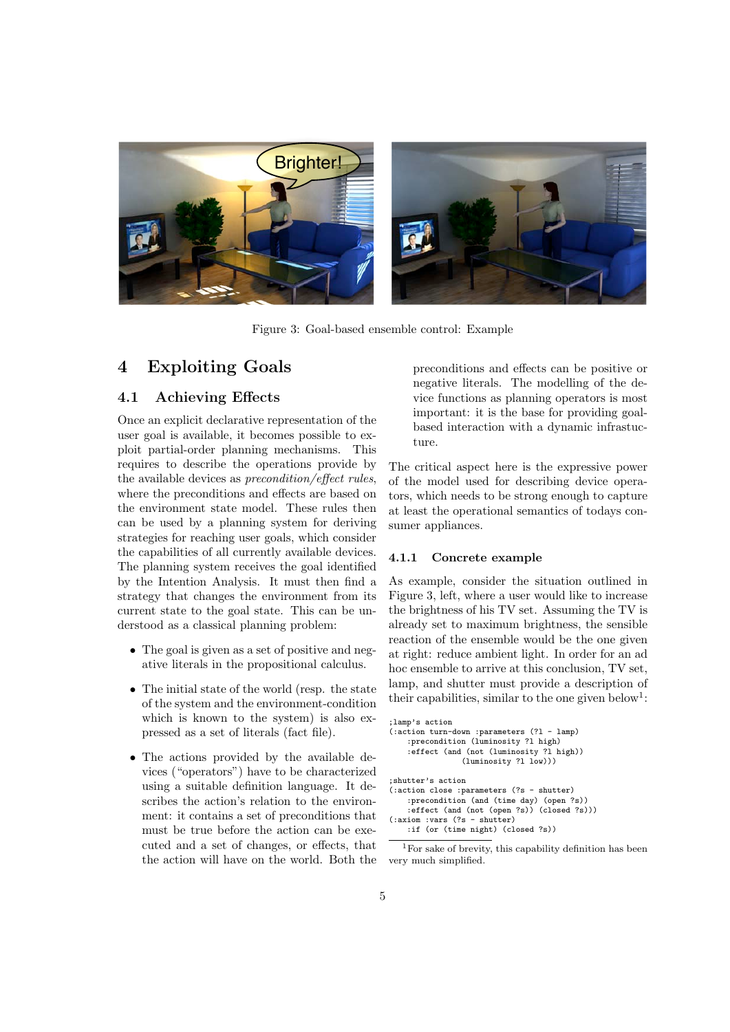

Figure 3: Goal-based ensemble control: Example

# 4 Exploiting Goals

## 4.1 Achieving Effects

Once an explicit declarative representation of the user goal is available, it becomes possible to exploit partial-order planning mechanisms. This requires to describe the operations provide by the available devices as precondition/effect rules, where the preconditions and effects are based on the environment state model. These rules then can be used by a planning system for deriving strategies for reaching user goals, which consider the capabilities of all currently available devices. The planning system receives the goal identified by the Intention Analysis. It must then find a strategy that changes the environment from its current state to the goal state. This can be understood as a classical planning problem:

- The goal is given as a set of positive and negative literals in the propositional calculus.
- The initial state of the world (resp. the state of the system and the environment-condition which is known to the system) is also expressed as a set of literals (fact file).
- The actions provided by the available devices ("operators") have to be characterized using a suitable definition language. It describes the action's relation to the environment: it contains a set of preconditions that must be true before the action can be executed and a set of changes, or effects, that the action will have on the world. Both the

preconditions and effects can be positive or negative literals. The modelling of the device functions as planning operators is most important: it is the base for providing goalbased interaction with a dynamic infrastucture.

The critical aspect here is the expressive power of the model used for describing device operators, which needs to be strong enough to capture at least the operational semantics of todays consumer appliances.

#### 4.1.1 Concrete example

As example, consider the situation outlined in Figure 3, left, where a user would like to increase the brightness of his TV set. Assuming the TV is already set to maximum brightness, the sensible reaction of the ensemble would be the one given at right: reduce ambient light. In order for an ad hoc ensemble to arrive at this conclusion, TV set, lamp, and shutter must provide a description of their capabilities, similar to the one given below<sup>1</sup>:

```
;lamp's action
(:action turn-down :parameters (?l - lamp)
   :precondition (luminosity ?l high)
    :effect (and (not (luminosity ?l high))
                (luminosity ?l low)))
;shutter's action
(:action close :parameters (?s - shutter)
    :precondition (and (time day) (open ?s))
    :effect (and (not (open ?s)) (closed ?s)))
(:axiom :vars (?s - shutter)
   :if (or (time night) (closed ?s))
```
<sup>1</sup>For sake of brevity, this capability definition has been very much simplified.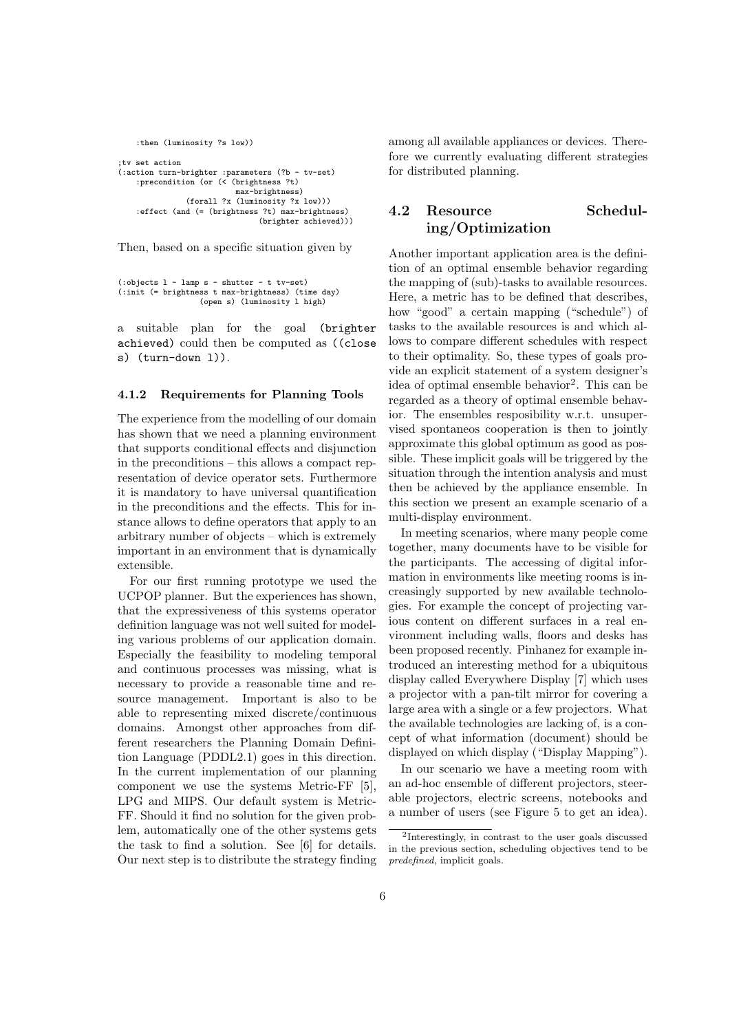```
:then (luminosity ?s low))
```

```
;tv set action
(:action turn-brighter :parameters (?b - tv-set)
    :precondition (or (< (brightness ?t)
                         max-brightness)
               (forall ?x (luminosity ?x low)))
    :effect (and (= (brightness ?t) max-brightness)
                               (brighter achieved)))
```
Then, based on a specific situation given by

```
(:objects l - lamp s - shutter - t tv-set)
(:init (= brightness t max-brightness) (time day)
                  (open s) (luminosity l high)
```
a suitable plan for the goal (brighter achieved) could then be computed as ((close s)  $(t_1 + t_2)$  (turn-down 1)).

#### 4.1.2 Requirements for Planning Tools

The experience from the modelling of our domain has shown that we need a planning environment that supports conditional effects and disjunction in the preconditions – this allows a compact representation of device operator sets. Furthermore it is mandatory to have universal quantification in the preconditions and the effects. This for instance allows to define operators that apply to an arbitrary number of objects – which is extremely important in an environment that is dynamically extensible.

For our first running prototype we used the UCPOP planner. But the experiences has shown, that the expressiveness of this systems operator definition language was not well suited for modeling various problems of our application domain. Especially the feasibility to modeling temporal and continuous processes was missing, what is necessary to provide a reasonable time and resource management. Important is also to be able to representing mixed discrete/continuous domains. Amongst other approaches from different researchers the Planning Domain Definition Language (PDDL2.1) goes in this direction. In the current implementation of our planning component we use the systems Metric-FF [5], LPG and MIPS. Our default system is Metric-FF. Should it find no solution for the given problem, automatically one of the other systems gets the task to find a solution. See [6] for details. Our next step is to distribute the strategy finding among all available appliances or devices. Therefore we currently evaluating different strategies for distributed planning.

## 4.2 Resource Scheduling/Optimization

Another important application area is the definition of an optimal ensemble behavior regarding the mapping of (sub)-tasks to available resources. Here, a metric has to be defined that describes, how "good" a certain mapping ("schedule") of tasks to the available resources is and which allows to compare different schedules with respect to their optimality. So, these types of goals provide an explicit statement of a system designer's idea of optimal ensemble behavior<sup>2</sup>. This can be regarded as a theory of optimal ensemble behavior. The ensembles resposibility w.r.t. unsupervised spontaneos cooperation is then to jointly approximate this global optimum as good as possible. These implicit goals will be triggered by the situation through the intention analysis and must then be achieved by the appliance ensemble. In this section we present an example scenario of a multi-display environment.

In meeting scenarios, where many people come together, many documents have to be visible for the participants. The accessing of digital information in environments like meeting rooms is increasingly supported by new available technologies. For example the concept of projecting various content on different surfaces in a real environment including walls, floors and desks has been proposed recently. Pinhanez for example introduced an interesting method for a ubiquitous display called Everywhere Display [7] which uses a projector with a pan-tilt mirror for covering a large area with a single or a few projectors. What the available technologies are lacking of, is a concept of what information (document) should be displayed on which display ("Display Mapping").

In our scenario we have a meeting room with an ad-hoc ensemble of different projectors, steerable projectors, electric screens, notebooks and a number of users (see Figure 5 to get an idea).

<sup>2</sup> Interestingly, in contrast to the user goals discussed in the previous section, scheduling objectives tend to be predefined, implicit goals.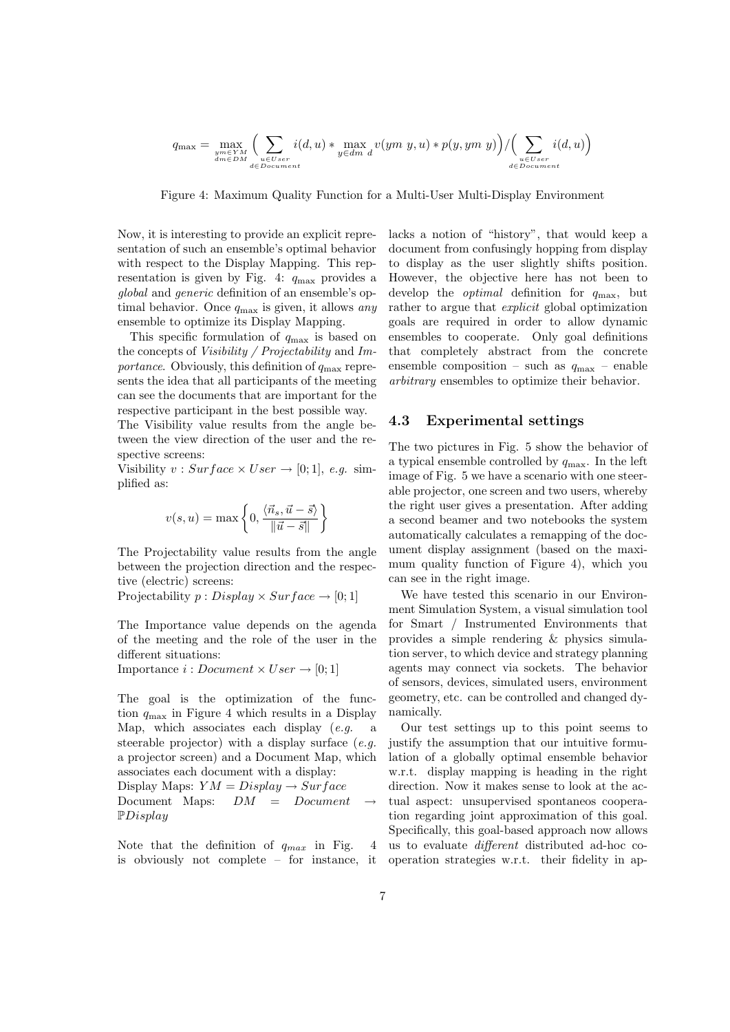$$
q_{\max} = \max_{\substack{y_m \in YM \\ dm \in DM}} \left( \sum_{\substack{u \in User \\ d \in Document}} i(d, u) * \max_{y \in dm d} v(ym \ y, u) * p(y, ym \ y) \right) / \left( \sum_{\substack{u \in User \\ d \in Document}} i(d, u) \right)
$$

Figure 4: Maximum Quality Function for a Multi-User Multi-Display Environment

Now, it is interesting to provide an explicit representation of such an ensemble's optimal behavior with respect to the Display Mapping. This representation is given by Fig. 4:  $q_{\text{max}}$  provides a global and generic definition of an ensemble's optimal behavior. Once  $q_{\text{max}}$  is given, it allows any ensemble to optimize its Display Mapping.

This specific formulation of  $q_{\text{max}}$  is based on the concepts of Visibility / Projectability and Importance. Obviously, this definition of  $q_{\text{max}}$  represents the idea that all participants of the meeting can see the documents that are important for the respective participant in the best possible way.

The Visibility value results from the angle between the view direction of the user and the respective screens:

Visibility  $v : Surface \times User \rightarrow [0,1], e.g. sim$ plified as:

$$
v(s,u)=\max\left\{0,\frac{\langle\vec{n}_s,\vec{u}-\vec{s}\rangle}{\|\vec{u}-\vec{s}\|}\right\}
$$

The Projectability value results from the angle between the projection direction and the respective (electric) screens:

Projectability  $p : Display \times Surface \rightarrow [0;1]$ 

The Importance value depends on the agenda of the meeting and the role of the user in the different situations:

Importance  $i:Document \times User \rightarrow [0;1]$ 

The goal is the optimization of the function  $q_{\text{max}}$  in Figure 4 which results in a Display Map, which associates each display  $(e,q, a)$ steerable projector) with a display surface  $(e.g.,)$ a projector screen) and a Document Map, which associates each document with a display:

Display Maps:  $YM = Display \rightarrow Surface$ 

Document Maps:  $DM = Document \rightarrow$ PDisplay

Note that the definition of  $q_{max}$  in Fig. 4 is obviously not complete – for instance, it

lacks a notion of "history", that would keep a document from confusingly hopping from display to display as the user slightly shifts position. However, the objective here has not been to develop the *optimal* definition for  $q_{\text{max}}$ , but rather to argue that explicit global optimization goals are required in order to allow dynamic ensembles to cooperate. Only goal definitions that completely abstract from the concrete ensemble composition – such as  $q_{\text{max}}$  – enable arbitrary ensembles to optimize their behavior.

#### 4.3 Experimental settings

The two pictures in Fig. 5 show the behavior of a typical ensemble controlled by  $q_{\text{max}}$ . In the left image of Fig. 5 we have a scenario with one steerable projector, one screen and two users, whereby the right user gives a presentation. After adding a second beamer and two notebooks the system automatically calculates a remapping of the document display assignment (based on the maximum quality function of Figure 4), which you can see in the right image.

We have tested this scenario in our Environment Simulation System, a visual simulation tool for Smart / Instrumented Environments that provides a simple rendering & physics simulation server, to which device and strategy planning agents may connect via sockets. The behavior of sensors, devices, simulated users, environment geometry, etc. can be controlled and changed dynamically.

Our test settings up to this point seems to justify the assumption that our intuitive formulation of a globally optimal ensemble behavior w.r.t. display mapping is heading in the right direction. Now it makes sense to look at the actual aspect: unsupervised spontaneos cooperation regarding joint approximation of this goal. Specifically, this goal-based approach now allows us to evaluate different distributed ad-hoc cooperation strategies w.r.t. their fidelity in ap-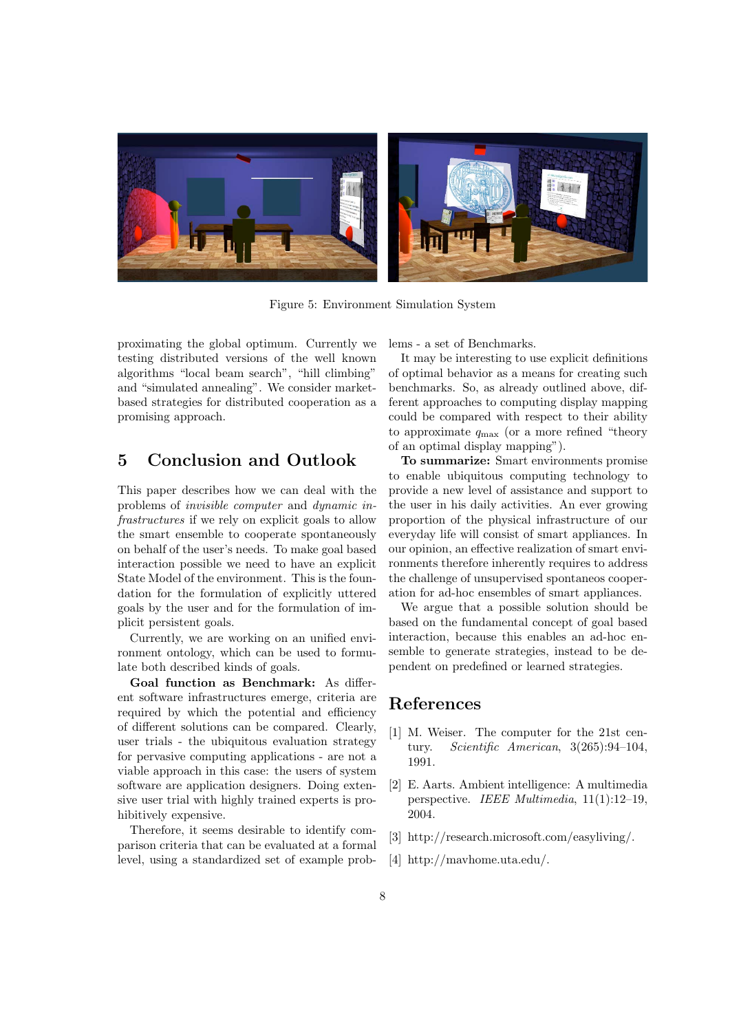

Figure 5: Environment Simulation System

proximating the global optimum. Currently we testing distributed versions of the well known algorithms "local beam search", "hill climbing" and "simulated annealing". We consider marketbased strategies for distributed cooperation as a promising approach.

## 5 Conclusion and Outlook

This paper describes how we can deal with the problems of invisible computer and dynamic infrastructures if we rely on explicit goals to allow the smart ensemble to cooperate spontaneously on behalf of the user's needs. To make goal based interaction possible we need to have an explicit State Model of the environment. This is the foundation for the formulation of explicitly uttered goals by the user and for the formulation of implicit persistent goals.

Currently, we are working on an unified environment ontology, which can be used to formulate both described kinds of goals.

Goal function as Benchmark: As different software infrastructures emerge, criteria are required by which the potential and efficiency of different solutions can be compared. Clearly, user trials - the ubiquitous evaluation strategy for pervasive computing applications - are not a viable approach in this case: the users of system software are application designers. Doing extensive user trial with highly trained experts is prohibitively expensive.

Therefore, it seems desirable to identify comparison criteria that can be evaluated at a formal level, using a standardized set of example problems - a set of Benchmarks.

It may be interesting to use explicit definitions of optimal behavior as a means for creating such benchmarks. So, as already outlined above, different approaches to computing display mapping could be compared with respect to their ability to approximate  $q_{\text{max}}$  (or a more refined "theory of an optimal display mapping").

To summarize: Smart environments promise to enable ubiquitous computing technology to provide a new level of assistance and support to the user in his daily activities. An ever growing proportion of the physical infrastructure of our everyday life will consist of smart appliances. In our opinion, an effective realization of smart environments therefore inherently requires to address the challenge of unsupervised spontaneos cooperation for ad-hoc ensembles of smart appliances.

We argue that a possible solution should be based on the fundamental concept of goal based interaction, because this enables an ad-hoc ensemble to generate strategies, instead to be dependent on predefined or learned strategies.

# References

- [1] M. Weiser. The computer for the 21st century. Scientific American, 3(265):94–104, 1991.
- [2] E. Aarts. Ambient intelligence: A multimedia perspective. IEEE Multimedia, 11(1):12–19, 2004.
- [3] http://research.microsoft.com/easyliving/.
- [4] http://mavhome.uta.edu/.